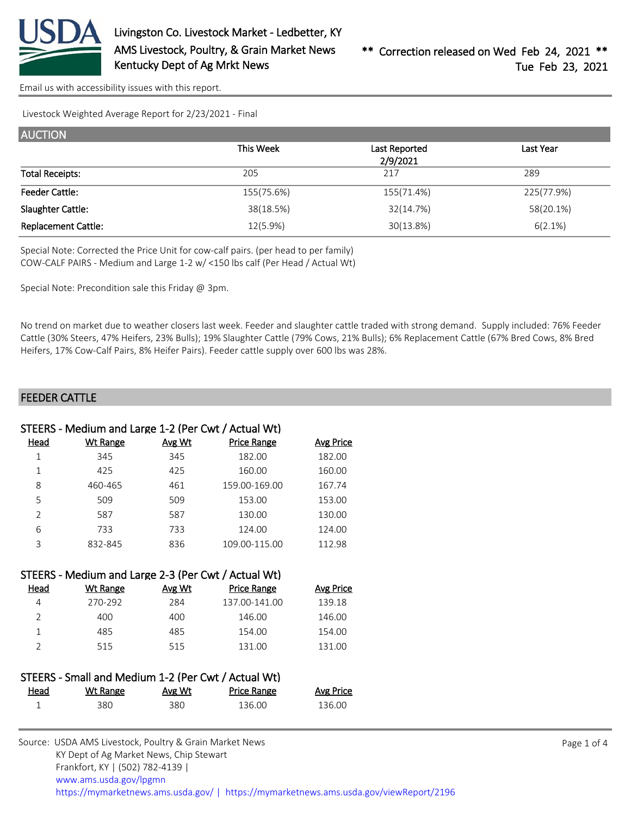

Livestock Weighted Average Report for 2/23/2021 - Final

| <b>AUCTION</b>             |            |               |            |
|----------------------------|------------|---------------|------------|
|                            | This Week  | Last Reported | Last Year  |
|                            |            | 2/9/2021      |            |
| <b>Total Receipts:</b>     | 205        | 217           | 289        |
| <b>Feeder Cattle:</b>      | 155(75.6%) | 155(71.4%)    | 225(77.9%) |
| Slaughter Cattle:          | 38(18.5%)  | 32(14.7%)     | 58(20.1%)  |
| <b>Replacement Cattle:</b> | 12(5.9%)   | 30(13.8%)     | 6(2.1%)    |

Special Note: Corrected the Price Unit for cow-calf pairs. (per head to per family) COW-CALF PAIRS - Medium and Large 1-2 w/ <150 lbs calf (Per Head / Actual Wt)

Special Note: Precondition sale this Friday @ 3pm.

No trend on market due to weather closers last week. Feeder and slaughter cattle traded with strong demand. Supply included: 76% Feeder Cattle (30% Steers, 47% Heifers, 23% Bulls); 19% Slaughter Cattle (79% Cows, 21% Bulls); 6% Replacement Cattle (67% Bred Cows, 8% Bred Heifers, 17% Cow-Calf Pairs, 8% Heifer Pairs). Feeder cattle supply over 600 lbs was 28%.

#### FEEDER CATTLE

|                | STEERS - Medium and Large 1-2 (Per Cwt / Actual Wt) |        |                    |                  |
|----------------|-----------------------------------------------------|--------|--------------------|------------------|
| Head           | <b>Wt Range</b>                                     | Avg Wt | <b>Price Range</b> | <u>Avg Price</u> |
| $\mathbf 1$    | 345                                                 | 345    | 182.00             | 182.00           |
| $\mathbf 1$    | 425                                                 | 425    | 160.00             | 160.00           |
| 8              | 460-465                                             | 461    | 159.00-169.00      | 167.74           |
| 5              | 509                                                 | 509    | 153.00             | 153.00           |
| $\overline{2}$ | 587                                                 | 587    | 130.00             | 130.00           |
| 6              | 733                                                 | 733    | 124.00             | 124.00           |
| 3              | 832-845                                             | 836    | 109.00-115.00      | 112.98           |
|                |                                                     |        |                    |                  |
|                | STEERS - Medium and Large 2-3 (Per Cwt / Actual Wt) |        |                    |                  |
| Head           | <b>Wt Range</b>                                     | Avg Wt | <b>Price Range</b> | <b>Avg Price</b> |
| 4              | 270-292                                             | 284    | 137.00-141.00      | 139.18           |
| $\overline{2}$ | 400                                                 | 400    | 146.00             | 146.00           |
| $\mathbf{1}$   | 485                                                 | 485    | 154.00             | 154.00           |
| $\overline{2}$ | 515                                                 | 515    | 131.00             | 131.00           |
|                |                                                     |        |                    |                  |
|                | STEERS - Small and Medium 1-2 (Per Cwt / Actual Wt) |        |                    |                  |
| لموصط          | λλ/† Range Avg λλ/†                                 |        | Drice Range        | Ava Drico        |

| <u>Head</u> | Wt Range | <u>Avg Wt</u> | Price Range | <b>Avg Price</b> |
|-------------|----------|---------------|-------------|------------------|
|             | 380      | 380           | 136.00      | 136.00           |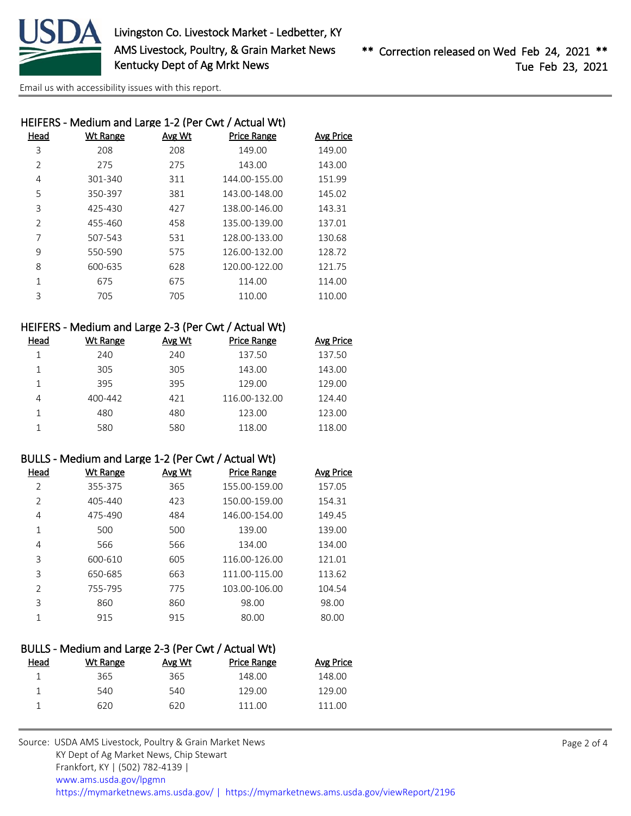

|               |                 |        | HEIFERS - Medium and Large 1-2 (Per Cwt / Actual Wt) |                  |
|---------------|-----------------|--------|------------------------------------------------------|------------------|
| Head          | <b>Wt Range</b> | Avg Wt | <b>Price Range</b>                                   | <b>Avg Price</b> |
| 3             | 208             | 208    | 149.00                                               | 149.00           |
| 2             | 275             | 275    | 143.00                                               | 143.00           |
| 4             | 301-340         | 311    | 144.00-155.00                                        | 151.99           |
| 5             | 350-397         | 381    | 143.00-148.00                                        | 145.02           |
| 3             | 425-430         | 427    | 138.00-146.00                                        | 143.31           |
| $\mathcal{P}$ | 455-460         | 458    | 135.00-139.00                                        | 137.01           |
| 7             | 507-543         | 531    | 128.00-133.00                                        | 130.68           |
| 9             | 550-590         | 575    | 126.00-132.00                                        | 128.72           |
| 8             | 600-635         | 628    | 120.00-122.00                                        | 121.75           |
| $\mathbf{1}$  | 675             | 675    | 114.00                                               | 114.00           |
| 3             | 705             | 705    | 110.00                                               | 110.00           |
|               |                 |        |                                                      |                  |

### HEIFERS - Medium and Large 2-3 (Per Cwt / Actual Wt)

| Head | Wt Range | Avg Wt | <b>Price Range</b> | <b>Avg Price</b> |
|------|----------|--------|--------------------|------------------|
|      | 240      | 240    | 137.50             | 137.50           |
|      | 305      | 305    | 143.00             | 143.00           |
|      | 395      | 395    | 129.00             | 129.00           |
| 4    | 400-442  | 421    | 116.00-132.00      | 124.40           |
|      | 480      | 480    | 123.00             | 123.00           |
|      | 580      | 580    | 118.00             | 118.00           |

### BULLS - Medium and Large 1-2 (Per Cwt / Actual Wt)

| Wt Range | Avg Wt | <b>Price Range</b> | <b>Avg Price</b> |
|----------|--------|--------------------|------------------|
| 355-375  | 365    | 155.00-159.00      | 157.05           |
| 405-440  | 423    | 150.00-159.00      | 154.31           |
| 475-490  | 484    | 146.00-154.00      | 149.45           |
| 500      | 500    | 139.00             | 139.00           |
| 566      | 566    | 134.00             | 134.00           |
| 600-610  | 605    | 116.00-126.00      | 121.01           |
| 650-685  | 663    | 111.00-115.00      | 113.62           |
| 755-795  | 775    | 103.00-106.00      | 104.54           |
| 860      | 860    | 98.00              | 98.00            |
| 915      | 915    | 80.00              | 80.00            |
|          |        |                    |                  |

| BULLS - Medium and Large 2-3 (Per Cwt / Actual Wt) |          |        |             |           |  |  |
|----------------------------------------------------|----------|--------|-------------|-----------|--|--|
| Head                                               | Wt Range | Avg Wt | Price Range | Avg Price |  |  |
|                                                    | 365      | 365    | 148.00      | 148.00    |  |  |
|                                                    | 540      | 540    | 129.00      | 129.00    |  |  |
|                                                    | 620      | 620    | 111 00      | 111 OO    |  |  |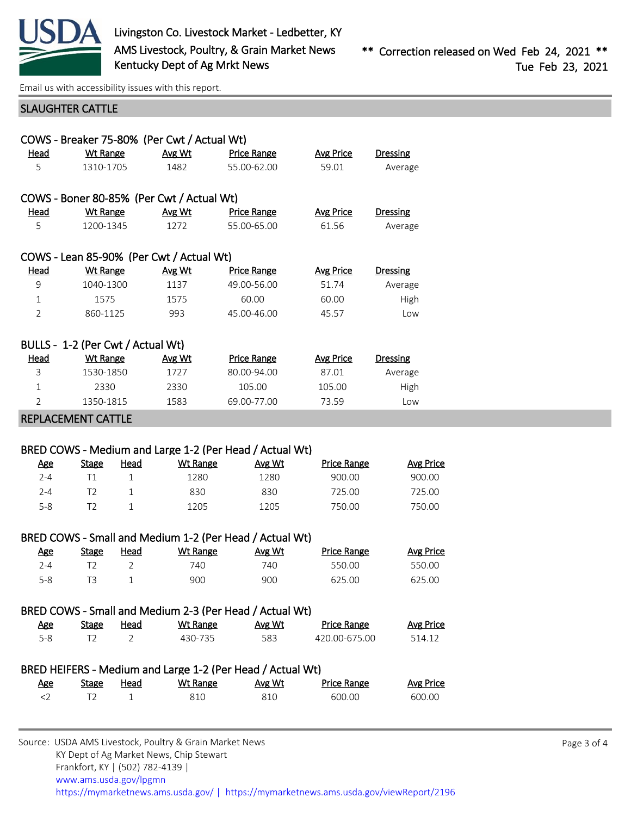

## SLAUGHTER CATTLE

|                                   | COWS - Breaker 75-80% (Per Cwt / Actual Wt) |               |                    |                  |                 |  |  |
|-----------------------------------|---------------------------------------------|---------------|--------------------|------------------|-----------------|--|--|
| Head                              | <b>Wt Range</b>                             | Avg Wt        | <b>Price Range</b> | Avg Price        | <b>Dressing</b> |  |  |
| 5                                 | 1310-1705                                   | 1482          | 55.00-62.00        | 59.01            | Average         |  |  |
|                                   |                                             |               |                    |                  |                 |  |  |
|                                   | COWS - Boner 80-85% (Per Cwt / Actual Wt)   |               |                    |                  |                 |  |  |
| Head                              | <b>Wt Range</b>                             | <b>Avg Wt</b> | <b>Price Range</b> | <b>Avg Price</b> | <b>Dressing</b> |  |  |
| 5                                 | 1200-1345                                   | 1272          | 55.00-65.00        | 61.56            | Average         |  |  |
|                                   |                                             |               |                    |                  |                 |  |  |
|                                   | COWS - Lean 85-90% (Per Cwt / Actual Wt)    |               |                    |                  |                 |  |  |
| Head                              | Wt Range                                    | <b>Avg Wt</b> | <b>Price Range</b> | <b>Avg Price</b> | <b>Dressing</b> |  |  |
| 9                                 | 1040-1300                                   | 1137          | 49.00-56.00        | 51.74            | Average         |  |  |
| 1                                 | 1575                                        | 1575          | 60.00              | 60.00            | High            |  |  |
| $\mathfrak{D}$                    | 860-1125                                    | 993           | 45.00-46.00        | 45.57            | l ow            |  |  |
|                                   |                                             |               |                    |                  |                 |  |  |
| BULLS - 1-2 (Per Cwt / Actual Wt) |                                             |               |                    |                  |                 |  |  |
| Head                              | <b>Wt Range</b>                             | Avg Wt        | <b>Price Range</b> | <b>Avg Price</b> | <b>Dressing</b> |  |  |
| 3                                 | 1530-1850                                   | 1727          | 80.00-94.00        | 87.01            | Average         |  |  |
| $\mathbf{1}$                      | 2330                                        | 2330          | 105.00             | 105.00           | High            |  |  |
| $\mathfrak{D}$                    | 1350-1815                                   | 1583          | 69.00-77.00        | 73.59            | Low             |  |  |
|                                   |                                             |               |                    |                  |                 |  |  |

REPLACEMENT CATTLE

### BRED COWS - Medium and Large 1-2 (Per Head / Actual Wt)

| <u>Age</u> | <b>Stage</b> | Head | Wt Range | Avg Wt | <b>Price Range</b> | Avg Price |
|------------|--------------|------|----------|--------|--------------------|-----------|
| 2-4        |              |      | 1280     | 1280   | 900.00             | 900.00    |
| 2-4        |              |      | 830      | 830    | 725.00             | 725.00    |
| $5 - 8$    |              |      | 1205     | 1205   | 750.00             | 750.00    |

| BRED COWS - Small and Medium 1-2 (Per Head / Actual Wt) |              |      |          |        |                    |                  |
|---------------------------------------------------------|--------------|------|----------|--------|--------------------|------------------|
| Age                                                     | <b>Stage</b> | Head | Wt Range | Avg Wt | <b>Price Range</b> | <b>Avg Price</b> |
| 7-4                                                     |              |      | 740.     | 740.   | 550.00             | 550.00           |
| 5-8                                                     |              |      | 900      | 900    | 625.00             | 625.00           |

|  | BRED COWS - Small and Medium 2-3 (Per Head / Actual Wt) |   |     |
|--|---------------------------------------------------------|---|-----|
|  | $\mathbf{A}$                                            | . | . . |

| <u>Age</u> | <b>Stage</b> | <u>Head</u> | Wt Range | Avg Wt | <b>Price Range</b> | <u>Avg Price</u> |
|------------|--------------|-------------|----------|--------|--------------------|------------------|
|            |              |             | 430-735  | 583    | 420.00-675.00      | 514.12           |

### BRED HEIFERS - Medium and Large 1-2 (Per Head / Actual Wt)

| <u>Age</u> | Stage | Head | Wt Range | Avg Wt | <b>Price Range</b> | Avg Price |
|------------|-------|------|----------|--------|--------------------|-----------|
|            |       |      | 810      | 810    | 600.00             | 600.00    |